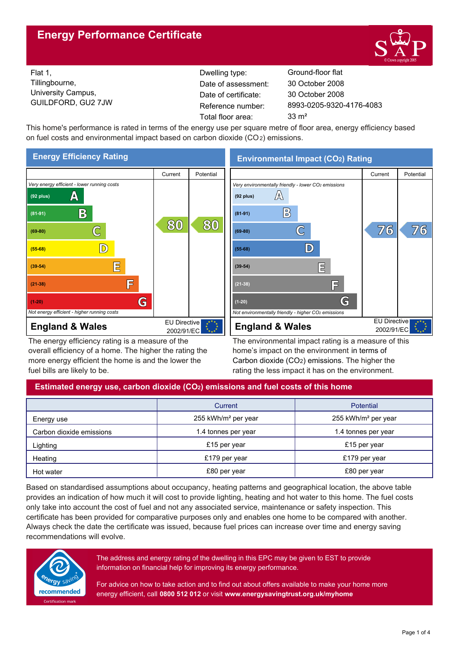## **Energy Performance Certificate**



Flat 1, Tillingbourne, University Campus, GUILDFORD, GU2 7JW

Dwelling type: Ground-floor flat Date of certificate: Total floor area: 33 m<sup>2</sup> Date of assessment:

8993-0205-9320-4176-4083 30 October 2008 30 October 2008

This home's performance is rated in terms of the energy use per square metre of floor area, energy efficiency based on fuel costs and environmental impact based on carbon dioxide (CO2) emissions.



The energy efficiency rating is a measure of the overall efficiency of a home. The higher the rating the more energy efficient the home is and the lower the fuel bills are likely to be.

**Environmental Impact (CO2) Rating**



The environmental impact rating is a measure of this home's impact on the environment in terms of Carbon dioxide (CO2) emissions. The higher the rating the less impact it has on the environment.

## **Estimated energy use, carbon dioxide (CO2) emissions and fuel costs of this home**

|                          | Current                         | Potential                       |  |
|--------------------------|---------------------------------|---------------------------------|--|
| Energy use               | 255 kWh/m <sup>2</sup> per year | 255 kWh/m <sup>2</sup> per year |  |
| Carbon dioxide emissions | 1.4 tonnes per year             | 1.4 tonnes per year             |  |
| Lighting                 | £15 per year                    | £15 per year                    |  |
| Heating                  | £179 per year                   | £179 per year                   |  |
| Hot water                | £80 per year                    | £80 per year                    |  |

Based on standardised assumptions about occupancy, heating patterns and geographical location, the above table provides an indication of how much it will cost to provide lighting, heating and hot water to this home. The fuel costs only take into account the cost of fuel and not any associated service, maintenance or safety inspection. This certificate has been provided for comparative purposes only and enables one home to be compared with another. Always check the date the certificate was issued, because fuel prices can increase over time and energy saving recommendations will evolve.



The address and energy rating of the dwelling in this EPC may be given to EST to provide information on financial help for improving its energy performance.

For advice on how to take action and to find out about offers available to make your home more energy efficient, call **0800 512 012** or visit **www.energysavingtrust.org.uk/myhome**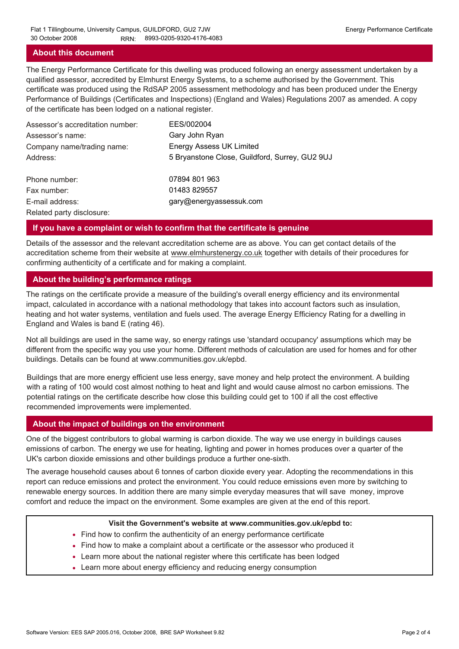### **About this document**

The Energy Performance Certificate for this dwelling was produced following an energy assessment undertaken by a qualified assessor, accredited by Elmhurst Energy Systems, to a scheme authorised by the Government. This certificate was produced using the RdSAP 2005 assessment methodology and has been produced under the Energy Performance of Buildings (Certificates and Inspections) (England and Wales) Regulations 2007 as amended. A copy of the certificate has been lodged on a national register.

| Assessor's accreditation number: | EES/002004                                     |
|----------------------------------|------------------------------------------------|
| Assessor's name:                 | Gary John Ryan                                 |
| Company name/trading name:       | <b>Energy Assess UK Limited</b>                |
| Address:                         | 5 Bryanstone Close, Guildford, Surrey, GU2 9UJ |
| Phone number:                    | 07894 801 963                                  |
| Fax number:                      | 01483 829557                                   |
| E-mail address:                  | gary@energyassessuk.com                        |
| Related party disclosure:        |                                                |

### **If you have a complaint or wish to confirm that the certificate is genuine**

Details of the assessor and the relevant accreditation scheme are as above. You can get contact details of the accreditation scheme from their website at www.elmhurstenergy.co.uk together with details of their procedures for confirming authenticity of a certificate and for making a complaint.

### **About the building's performance ratings**

The ratings on the certificate provide a measure of the building's overall energy efficiency and its environmental impact, calculated in accordance with a national methodology that takes into account factors such as insulation, heating and hot water systems, ventilation and fuels used. The average Energy Efficiency Rating for a dwelling in England and Wales is band E (rating 46).

Not all buildings are used in the same way, so energy ratings use 'standard occupancy' assumptions which may be different from the specific way you use your home. Different methods of calculation are used for homes and for other buildings. Details can be found at www.communities.gov.uk/epbd.

Buildings that are more energy efficient use less energy, save money and help protect the environment. A building with a rating of 100 would cost almost nothing to heat and light and would cause almost no carbon emissions. The potential ratings on the certificate describe how close this building could get to 100 if all the cost effective recommended improvements were implemented.

#### **About the impact of buildings on the environment**

One of the biggest contributors to global warming is carbon dioxide. The way we use energy in buildings causes emissions of carbon. The energy we use for heating, lighting and power in homes produces over a quarter of the UK's carbon dioxide emissions and other buildings produce a further one-sixth.

The average household causes about 6 tonnes of carbon dioxide every year. Adopting the recommendations in this report can reduce emissions and protect the environment. You could reduce emissions even more by switching to renewable energy sources. In addition there are many simple everyday measures that will save money, improve comfort and reduce the impact on the environment. Some examples are given at the end of this report.

#### **Visit the Government's website at www.communities.gov.uk/epbd to:**

- Find how to confirm the authenticity of an energy performance certificate
- Find how to make a complaint about a certificate or the assessor who produced it •
- Learn more about the national register where this certificate has been lodged •
- Learn more about energy efficiency and reducing energy consumption •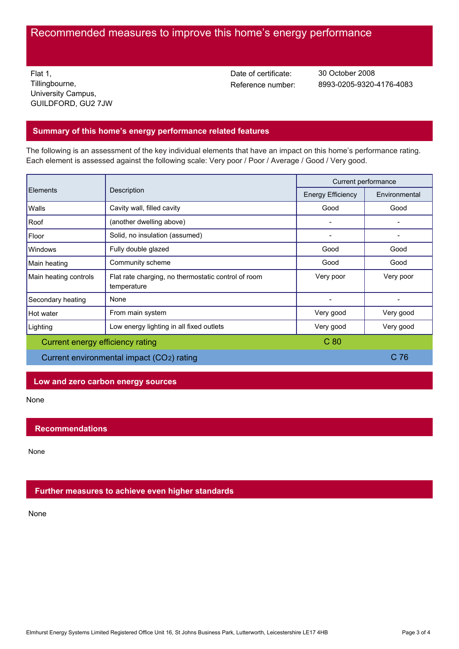# Recommended measures to improve this home's energy performance

Flat 1, Tillingbourne, University Campus, GUILDFORD, GU2 7JW Date of certificate:

Reference number: 8993-0205-9320-4176-4083 30 October 2008

## **Summary of this home's energy performance related features**

The following is an assessment of the key individual elements that have an impact on this home's performance rating. Each element is assessed against the following scale: Very poor / Poor / Average / Good / Very good.

| Elements                                  | Description                                                        | Current performance      |                 |
|-------------------------------------------|--------------------------------------------------------------------|--------------------------|-----------------|
|                                           |                                                                    | <b>Energy Efficiency</b> | Environmental   |
| Walls                                     | Cavity wall, filled cavity                                         | Good                     | Good            |
| Roof                                      | (another dwelling above)                                           |                          |                 |
| Floor                                     | Solid, no insulation (assumed)                                     |                          |                 |
| Windows                                   | Fully double glazed                                                | Good                     | Good            |
| Main heating                              | Community scheme                                                   | Good                     | Good            |
| Main heating controls                     | Flat rate charging, no thermostatic control of room<br>temperature | Very poor                | Very poor       |
| Secondary heating                         | None                                                               |                          |                 |
| Hot water                                 | From main system                                                   | Very good                | Very good       |
| Lighting                                  | Low energy lighting in all fixed outlets                           | Very good                | Very good       |
| Current energy efficiency rating          |                                                                    | C <sub>80</sub>          |                 |
| Current environmental impact (CO2) rating |                                                                    |                          | C <sub>76</sub> |

## **Low and zero carbon energy sources**

None

## **Recommendations**

None

## **Further measures to achieve even higher standards**

None